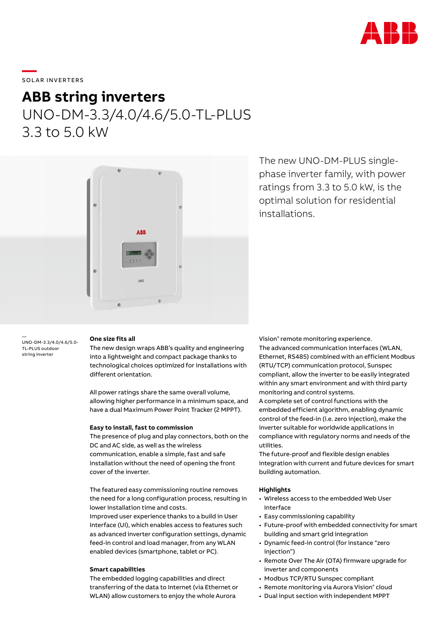

# \_\_\_\_\_<br>SOLAR INVERTERS

### **ABB string inverters** UNO-DM-3.3/4.0/4.6/5.0-TL-PLUS

3.3 to 5.0 kW



The new UNO-DM-PLUS singlephase inverter family, with power ratings from 3.3 to 5.0 kW, is the optimal solution for residential installations.

— UNO-DM-3.3/4.0/4.6/5.0- TL-PLUS outdoor string inverter

#### **One size fits all**

The new design wraps ABB's quality and engineering into a lightweight and compact package thanks to technological choices optimized for installations with different orientation.

All power ratings share the same overall volume, allowing higher performance in a minimum space, and have a dual Maximum Power Point Tracker (2 MPPT).

#### **Easy to install, fast to commission**

The presence of plug and play connectors, both on the DC and AC side, as well as the wireless communication, enable a simple, fast and safe installation without the need of opening the front cover of the inverter.

The featured easy commissioning routine removes the need for a long configuration process, resulting in lower installation time and costs.

Improved user experience thanks to a build in User Interface (UI), which enables access to features such as advanced inverter configuration settings, dynamic feed-in control and load manager, from any WLAN enabled devices (smartphone, tablet or PC).

### **Smart capabilities**

The embedded logging capabilities and direct transferring of the data to Internet (via Ethernet or WLAN) allow customers to enjoy the whole Aurora

Vision® remote monitoring experience. The advanced communication interfaces (WLAN, Ethernet, RS485) combined with an efficient Modbus (RTU/TCP) communication protocol, Sunspec compliant, allow the inverter to be easily integrated within any smart environment and with third party monitoring and control systems.

A complete set of control functions with the embedded efficient algorithm, enabling dynamic control of the feed-in (i.e. zero injection), make the inverter suitable for worldwide applications in compliance with regulatory norms and needs of the utilities.

The future-proof and flexible design enables integration with current and future devices for smart building automation.

#### **Highlights**

- Wireless access to the embedded Web User Interface
- Easy commissioning capability
- Future-proof with embedded connectivity for smart building and smart grid integration
- Dynamic feed-in control (for instance "zero injection")
- Remote Over The Air (OTA) firmware upgrade for inverter and components
- Modbus TCP/RTU Sunspec compliant
- Remote monitoring via Aurora Vision® cloud
- Dual input section with independent MPPT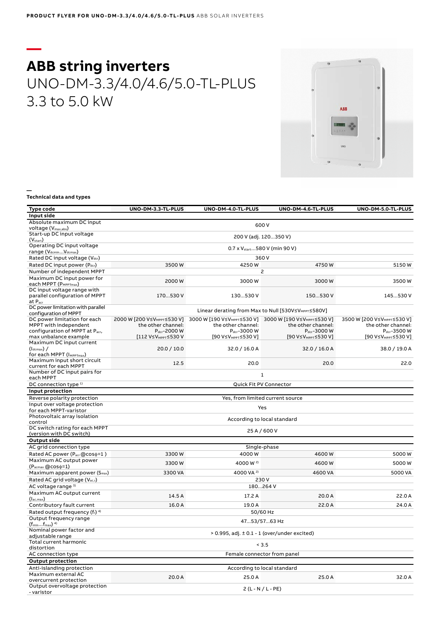## **— ABB string inverters** UNO-DM-3.3/4.0/4.6/5.0-TL-PLUS 3.3 to 5.0 kW



**— Technical data and types**

| Type code                                                  | UNO-DM-3.3-TL-PLUS                                  | UNO-DM-4.0-TL-PLUS                                                                                                      | UNO-DM-4.6-TL-PLUS                        | UNO-DM-5.0-TL-PLUS                      |  |  |
|------------------------------------------------------------|-----------------------------------------------------|-------------------------------------------------------------------------------------------------------------------------|-------------------------------------------|-----------------------------------------|--|--|
| Input side                                                 |                                                     |                                                                                                                         |                                           |                                         |  |  |
| Absolute maximum DC input                                  |                                                     |                                                                                                                         |                                           |                                         |  |  |
| voltage (V <sub>max,abs</sub> )                            | 600V                                                |                                                                                                                         |                                           |                                         |  |  |
| Start-up DC input voltage                                  |                                                     |                                                                                                                         | 200 V (adj. 120350 V)                     |                                         |  |  |
| (V <sub>start</sub> )                                      |                                                     |                                                                                                                         |                                           |                                         |  |  |
| Operating DC input voltage                                 |                                                     |                                                                                                                         | 0.7 x V <sub>start</sub> 580 V (min 90 V) |                                         |  |  |
| range (V <sub>dcmin</sub> V <sub>dcmax</sub> )             |                                                     |                                                                                                                         |                                           |                                         |  |  |
| Rated DC input voltage (V <sub>dcr</sub> )                 |                                                     |                                                                                                                         | 360 V                                     |                                         |  |  |
| Rated DC input power (Pdcr)                                | 3500W                                               | 4250W                                                                                                                   | 4750W                                     | 5150W                                   |  |  |
| Number of independent MPPT                                 | 2                                                   |                                                                                                                         |                                           |                                         |  |  |
| Maximum DC input power for<br>each MPPT (PMPPTmax)         | 2000W                                               | 3000W                                                                                                                   | 3000W                                     | 3500W                                   |  |  |
| DC input voltage range with                                |                                                     |                                                                                                                         |                                           |                                         |  |  |
| parallel configuration of MPPT                             | 170530 V                                            | 130530 V                                                                                                                | 150530 V                                  | 145530 V                                |  |  |
| at P <sub>acr</sub>                                        |                                                     |                                                                                                                         |                                           |                                         |  |  |
| DC power limitation with parallel                          |                                                     |                                                                                                                         |                                           |                                         |  |  |
| configuration of MPPT                                      | Linear derating from Max to Null [530V≤VMPPT≤580V]  |                                                                                                                         |                                           |                                         |  |  |
| DC power limitation for each                               |                                                     | 2000 W [200 V≤V <sub>MPPT</sub> ≤530 V] 3000 W [190 V≤V <sub>MPPT</sub> ≤530 V] 3000 W [190 V≤V <sub>MPPT</sub> ≤530 V] |                                           | 3500 W [200 V≤V <sub>MPPT</sub> ≤530 V] |  |  |
| MPPT with independent                                      | the other channel:                                  | the other channel:                                                                                                      | the other channel:                        | the other channel:                      |  |  |
| configuration of MPPT at Pacr,                             | P <sub>dcr</sub> -2000 W                            | P <sub>dcr</sub> -3000 W                                                                                                | P <sub>dcr</sub> -3000 W                  | $P_{\text{dcr}}$ -3500 W                |  |  |
| max unbalance example                                      | [112 V≤V <sub>MPPT</sub> ≤530 V                     | [90 V≤V <sub>MPPT</sub> ≤530 V]                                                                                         | [90 V≤V <sub>MPPT</sub> ≤530 V]           | [90 V≤V <sub>MPPT</sub> ≤530 V]         |  |  |
| Maximum DC input current                                   |                                                     |                                                                                                                         |                                           |                                         |  |  |
| $(l_{\text{dcmax}})$ /                                     | 20.0 / 10.0                                         | 32.0 / 16.0 A                                                                                                           | 32.0 / 16.0 A                             | 38.0 / 19.0 A                           |  |  |
| for each MPPT (IMPPTmax)                                   |                                                     |                                                                                                                         |                                           |                                         |  |  |
| Maximum input short circuit<br>current for each MPPT       | 12.5                                                | 20.0                                                                                                                    | 20.0                                      | 22.0                                    |  |  |
| Number of DC input pairs for                               |                                                     |                                                                                                                         |                                           |                                         |  |  |
| each MPPT                                                  |                                                     |                                                                                                                         | $\mathbf{1}$                              |                                         |  |  |
| DC connection type <sup>1)</sup>                           | Quick Fit PV Connector                              |                                                                                                                         |                                           |                                         |  |  |
| Input protection                                           |                                                     |                                                                                                                         |                                           |                                         |  |  |
| Reverse polarity protection                                |                                                     |                                                                                                                         |                                           |                                         |  |  |
| Input over voltage protection                              | Yes, from limited current source                    |                                                                                                                         |                                           |                                         |  |  |
| for each MPPT-varistor                                     | Yes                                                 |                                                                                                                         |                                           |                                         |  |  |
| Photovoltaic array isolation                               |                                                     |                                                                                                                         |                                           |                                         |  |  |
| control                                                    | According to local standard                         |                                                                                                                         |                                           |                                         |  |  |
| DC switch rating for each MPPT                             |                                                     |                                                                                                                         |                                           |                                         |  |  |
| (version with DC switch)                                   |                                                     |                                                                                                                         | 25 A / 600 V                              |                                         |  |  |
| <b>Output side</b>                                         |                                                     |                                                                                                                         |                                           |                                         |  |  |
| AC grid connection type                                    |                                                     |                                                                                                                         | Single-phase                              |                                         |  |  |
| Rated AC power (P <sub>acr</sub> @cos $\phi$ =1)           | 3300W                                               | 4000W                                                                                                                   | 4600W                                     | 5000W                                   |  |  |
| Maximum AC output power                                    |                                                     |                                                                                                                         |                                           |                                         |  |  |
| $(P_{\text{acmax}}@cos\phi=1)$                             | 3300W                                               | 4000 W <sup>2)</sup>                                                                                                    | 4600W                                     | 5000W                                   |  |  |
| Maximum apparent power (S <sub>max</sub> )                 | 3300 VA                                             | 4000 VA <sup>2)</sup>                                                                                                   | 4600 VA                                   | 5000 VA                                 |  |  |
| Rated AC grid voltage (Vac,r)                              | 230V                                                |                                                                                                                         |                                           |                                         |  |  |
|                                                            | 180264 V                                            |                                                                                                                         |                                           |                                         |  |  |
| AC voltage range 3)                                        |                                                     |                                                                                                                         |                                           |                                         |  |  |
| Maximum AC output current                                  | 14.5 A                                              | 17.2 A                                                                                                                  | 20.0 A                                    | 22.0 A                                  |  |  |
| $(l_{ac,max})$                                             |                                                     |                                                                                                                         |                                           |                                         |  |  |
| Contributory fault current                                 | 16.0 A                                              | 19.0 A                                                                                                                  | 22.0 A                                    | 24.0 A                                  |  |  |
| Rated output frequency (f <sub>r</sub> ) <sup>4)</sup>     | 50/60 Hz                                            |                                                                                                                         |                                           |                                         |  |  |
| Output frequency range<br>$(f_{min}f_{max})$ <sup>4)</sup> | 4753/5763 Hz                                        |                                                                                                                         |                                           |                                         |  |  |
| Nominal power factor and<br>adjustable range               | $> 0.995$ , adj. $\pm 0.1 - 1$ (over/under excited) |                                                                                                                         |                                           |                                         |  |  |
| Total current harmonic                                     | < 3.5                                               |                                                                                                                         |                                           |                                         |  |  |
| distortion                                                 |                                                     |                                                                                                                         |                                           |                                         |  |  |
| AC connection type                                         | Female connector from panel                         |                                                                                                                         |                                           |                                         |  |  |
| <b>Output protection</b>                                   |                                                     |                                                                                                                         |                                           |                                         |  |  |
| Anti-islanding protection                                  | According to local standard                         |                                                                                                                         |                                           |                                         |  |  |
| Maximum external AC                                        | 20.0 A                                              | 25.0 A                                                                                                                  | 25.0 A                                    | 32.0 A                                  |  |  |
| overcurrent protection                                     |                                                     |                                                                                                                         |                                           |                                         |  |  |
| Output overvoltage protection                              | $2(L-N/L-PE)$                                       |                                                                                                                         |                                           |                                         |  |  |
| - varistor                                                 |                                                     |                                                                                                                         |                                           |                                         |  |  |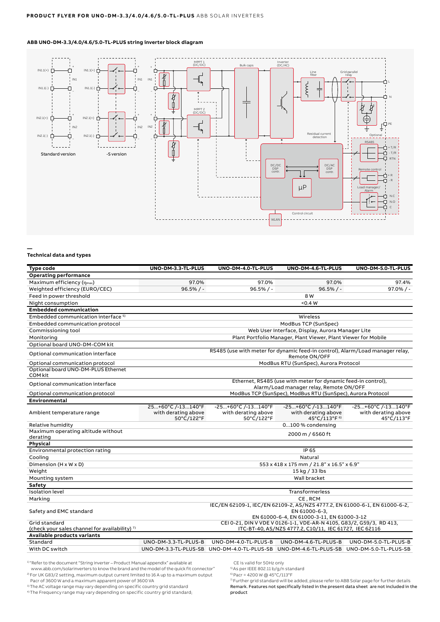### **ABB UNO-DM-3.3/4.0/4.6/5.0-TL-PLUS string inverter block diagram**



#### **Technical data and types**

**—**

| <b>Type code</b>                               | UNO-DM-3.3-TL-PLUS                                                                                                 | UNO-DM-4.0-TL-PLUS                                                                                       | UNO-DM-4.6-TL-PLUS                                                    | UNO-DM-5.0-TL-PLUS                                      |  |
|------------------------------------------------|--------------------------------------------------------------------------------------------------------------------|----------------------------------------------------------------------------------------------------------|-----------------------------------------------------------------------|---------------------------------------------------------|--|
| <b>Operating performance</b>                   |                                                                                                                    |                                                                                                          |                                                                       |                                                         |  |
| Maximum efficiency (nmax)                      | 97.0%                                                                                                              | 97.0%                                                                                                    | 97.0%                                                                 | 97.4%                                                   |  |
| Weighted efficiency (EURO/CEC)                 | $96.5%$ / -                                                                                                        | $96.5%/$ -                                                                                               | $96.5%/ -$                                                            | $97.0\%$ / -                                            |  |
| Feed in power threshold                        |                                                                                                                    |                                                                                                          | 8 W                                                                   |                                                         |  |
| Night consumption                              |                                                                                                                    | < 0.4 W                                                                                                  |                                                                       |                                                         |  |
| <b>Embedded communication</b>                  |                                                                                                                    |                                                                                                          |                                                                       |                                                         |  |
| Embedded communication interface <sup>5)</sup> |                                                                                                                    |                                                                                                          | Wireless                                                              |                                                         |  |
| Embedded communication protocol                |                                                                                                                    | ModBus TCP (SunSpec)                                                                                     |                                                                       |                                                         |  |
| Commissioning tool                             | Web User Interface, Display, Aurora Manager Lite                                                                   |                                                                                                          |                                                                       |                                                         |  |
| Monitoring                                     | Plant Portfolio Manager, Plant Viewer, Plant Viewer for Mobile                                                     |                                                                                                          |                                                                       |                                                         |  |
| Optional board UNO-DM-COM kit                  |                                                                                                                    |                                                                                                          |                                                                       |                                                         |  |
| Optional communication interface               | RS485 (use with meter for dynamic feed-in control), Alarm/Load manager relay,<br>Remote ON/OFF                     |                                                                                                          |                                                                       |                                                         |  |
| Optional communication protocol                |                                                                                                                    | ModBus RTU (SunSpec), Aurora Protocol                                                                    |                                                                       |                                                         |  |
| Optional board UNO-DM-PLUS Ethernet<br>COM kit |                                                                                                                    |                                                                                                          |                                                                       |                                                         |  |
| Optional communication interface               |                                                                                                                    | Ethernet, RS485 (use with meter for dynamic feed-in control),<br>Alarm/Load manager relay, Remote ON/OFF |                                                                       |                                                         |  |
| Optional communication protocol                |                                                                                                                    | ModBus TCP (SunSpec), ModBus RTU (SunSpec), Aurora Protocol                                              |                                                                       |                                                         |  |
| Environmental                                  |                                                                                                                    |                                                                                                          |                                                                       |                                                         |  |
| Ambient temperature range                      | 25+60°C /-13140°F<br>with derating above<br>50°C/122°F                                                             | -25+60°C /-13140°F<br>with derating above<br>50°C/122°F                                                  | -25+60°C /-13140°F<br>with derating above<br>45°C/113°F <sup>6)</sup> | -25+60°C /-13140°F<br>with derating above<br>45°C/113°F |  |
| Relative humidity                              |                                                                                                                    |                                                                                                          | 0100 % condensing                                                     |                                                         |  |
| Maximum operating altitude without             |                                                                                                                    | 2000 m / 6560 ft                                                                                         |                                                                       |                                                         |  |
| derating                                       |                                                                                                                    |                                                                                                          |                                                                       |                                                         |  |
| Physical                                       |                                                                                                                    |                                                                                                          |                                                                       |                                                         |  |
| Environmental protection rating                |                                                                                                                    |                                                                                                          | IP 65                                                                 |                                                         |  |
| Cooling                                        |                                                                                                                    | Natural                                                                                                  |                                                                       |                                                         |  |
| Dimension (H x W x D)                          |                                                                                                                    | 553 x 418 x 175 mm / 21.8" x 16.5" x 6.9"                                                                |                                                                       |                                                         |  |
| Weight                                         |                                                                                                                    | 15 kg / 33 lbs                                                                                           |                                                                       |                                                         |  |
| Mounting system                                |                                                                                                                    |                                                                                                          | Wall bracket                                                          |                                                         |  |
| Safety                                         |                                                                                                                    |                                                                                                          |                                                                       |                                                         |  |
| <b>Isolation level</b>                         |                                                                                                                    | <b>Transformerless</b>                                                                                   |                                                                       |                                                         |  |
| Marking                                        | CE, RCM                                                                                                            |                                                                                                          |                                                                       |                                                         |  |
| Safety and EMC standard                        |                                                                                                                    | IEC/EN 62109-1, IEC/EN 62109-2, AS/NZS 4777.2, EN 61000-6-1, EN 61000-6-2,<br>EN 61000-6-3,              |                                                                       |                                                         |  |
| Grid standard                                  | EN 61000-6-4, EN 61000-3-11, EN 61000-3-12<br>CEI 0-21, DIN V VDE V 0126-1-1, VDE-AR-N 4105, G83/2, G59/3, RD 413, |                                                                                                          |                                                                       |                                                         |  |
| (check your sales channel for availability) 7) |                                                                                                                    |                                                                                                          | ITC-BT-40, AS/NZS 4777.2, C10/11, IEC 61727, IEC 62116                |                                                         |  |
| Available products variants                    |                                                                                                                    |                                                                                                          |                                                                       |                                                         |  |
| Standard                                       | UNO-DM-3.3-TL-PLUS-B                                                                                               | UNO-DM-4.0-TL-PLUS-B                                                                                     | UNO-DM-4.6-TL-PLUS-B                                                  | UNO-DM-5.0-TL-PLUS-B                                    |  |
| With DC switch                                 |                                                                                                                    | UNO-DM-3.3-TL-PLUS-SB UNO-DM-4.0-TL-PLUS-SB UNO-DM-4.6-TL-PLUS-SB UNO-DM-5.0-TL-PLUS-SB                  |                                                                       |                                                         |  |

1) "Refer to the document "String inverter - Product Manual appendix" available at

www.abb.com/solarinverters to know the brand and the model of the quick fit connector" 2) For UK G83/2 setting, maximum output current limited to 16 A up to a maximum output Pacr of 3600 W and a maximum apparent power of 3600 VA

<sup>3)</sup> The AC voltage range may vary depending on specific country grid standard

4) The Frequency range may vary depending on specific country grid standard;

CE is valid for 50Hz only

- 5) As per IEEE 802.11 b/g/n standard
- 6) Pacr = 4200 W @ 45°C/113°F

 $\frac{1}{7}$  Further grid standard will be added, please refer to ABB Solar page for further details Remark. Features not specifically listed in the present data sheet are not included in the product